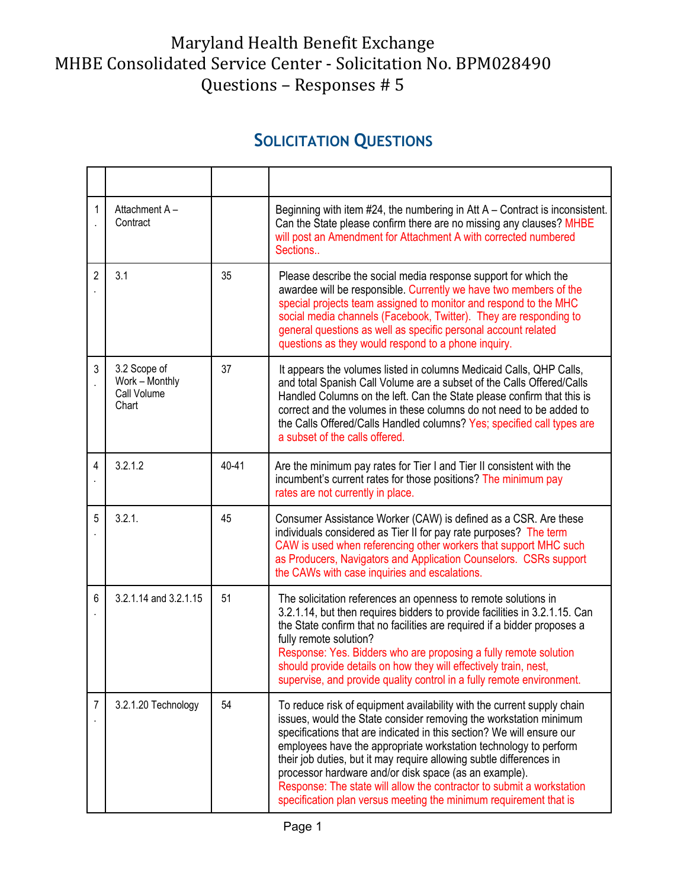## Maryland Health Benefit Exchange MHBE Consolidated Service Center - Solicitation No. BPM028490 Questions – Responses # 5

## **SOLICITATION QUESTIONS**

| 1              | Attachment A-<br>Contract                              |       | Beginning with item $#24$ , the numbering in Att A – Contract is inconsistent.<br>Can the State please confirm there are no missing any clauses? MHBE<br>will post an Amendment for Attachment A with corrected numbered<br>Sections                                                                                                                                                                                                                                                                                                                                   |
|----------------|--------------------------------------------------------|-------|------------------------------------------------------------------------------------------------------------------------------------------------------------------------------------------------------------------------------------------------------------------------------------------------------------------------------------------------------------------------------------------------------------------------------------------------------------------------------------------------------------------------------------------------------------------------|
| $\overline{2}$ | 3.1                                                    | 35    | Please describe the social media response support for which the<br>awardee will be responsible. Currently we have two members of the<br>special projects team assigned to monitor and respond to the MHC<br>social media channels (Facebook, Twitter). They are responding to<br>general questions as well as specific personal account related<br>questions as they would respond to a phone inquiry.                                                                                                                                                                 |
| 3              | 3.2 Scope of<br>Work - Monthly<br>Call Volume<br>Chart | 37    | It appears the volumes listed in columns Medicaid Calls, QHP Calls,<br>and total Spanish Call Volume are a subset of the Calls Offered/Calls<br>Handled Columns on the left. Can the State please confirm that this is<br>correct and the volumes in these columns do not need to be added to<br>the Calls Offered/Calls Handled columns? Yes; specified call types are<br>a subset of the calls offered.                                                                                                                                                              |
| $\overline{4}$ | 3.2.1.2                                                | 40-41 | Are the minimum pay rates for Tier I and Tier II consistent with the<br>incumbent's current rates for those positions? The minimum pay<br>rates are not currently in place.                                                                                                                                                                                                                                                                                                                                                                                            |
| 5              | 3.2.1.                                                 | 45    | Consumer Assistance Worker (CAW) is defined as a CSR. Are these<br>individuals considered as Tier II for pay rate purposes? The term<br>CAW is used when referencing other workers that support MHC such<br>as Producers, Navigators and Application Counselors. CSRs support<br>the CAWs with case inquiries and escalations.                                                                                                                                                                                                                                         |
| 6              | 3.2.1.14 and 3.2.1.15                                  | 51    | The solicitation references an openness to remote solutions in<br>3.2.1.14, but then requires bidders to provide facilities in 3.2.1.15. Can<br>the State confirm that no facilities are required if a bidder proposes a<br>fully remote solution?<br>Response: Yes. Bidders who are proposing a fully remote solution<br>should provide details on how they will effectively train, nest,<br>supervise, and provide quality control in a fully remote environment.                                                                                                    |
| 7              | 3.2.1.20 Technology                                    | 54    | To reduce risk of equipment availability with the current supply chain<br>issues, would the State consider removing the workstation minimum<br>specifications that are indicated in this section? We will ensure our<br>employees have the appropriate workstation technology to perform<br>their job duties, but it may require allowing subtle differences in<br>processor hardware and/or disk space (as an example).<br>Response: The state will allow the contractor to submit a workstation<br>specification plan versus meeting the minimum requirement that is |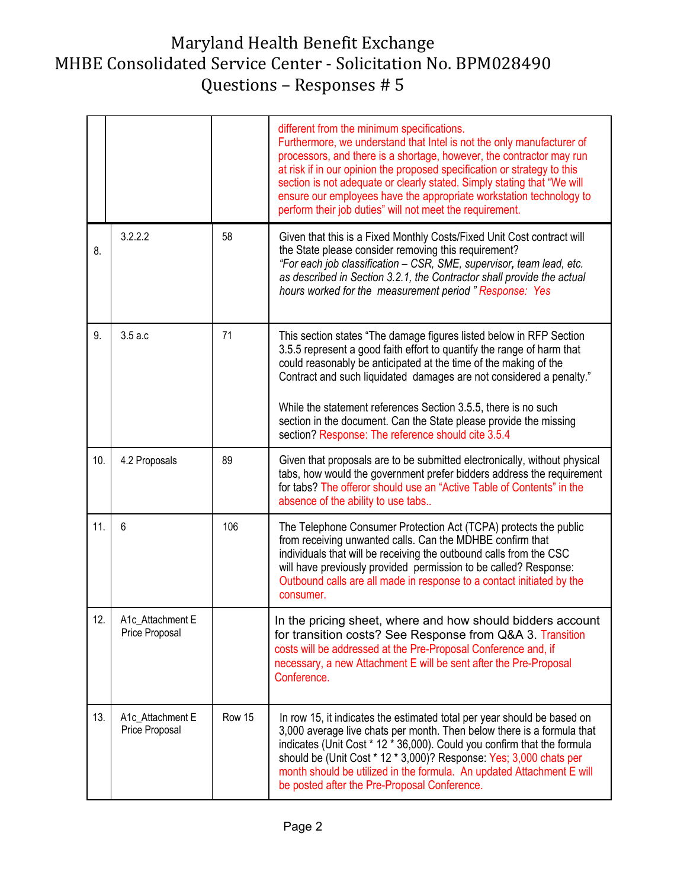## Maryland Health Benefit Exchange MHBE Consolidated Service Center - Solicitation No. BPM028490 Questions – Responses # 5

|     |                                    |        | different from the minimum specifications.<br>Furthermore, we understand that Intel is not the only manufacturer of<br>processors, and there is a shortage, however, the contractor may run<br>at risk if in our opinion the proposed specification or strategy to this<br>section is not adequate or clearly stated. Simply stating that "We will<br>ensure our employees have the appropriate workstation technology to<br>perform their job duties" will not meet the requirement. |
|-----|------------------------------------|--------|---------------------------------------------------------------------------------------------------------------------------------------------------------------------------------------------------------------------------------------------------------------------------------------------------------------------------------------------------------------------------------------------------------------------------------------------------------------------------------------|
| 8.  | 3.2.2.2                            | 58     | Given that this is a Fixed Monthly Costs/Fixed Unit Cost contract will<br>the State please consider removing this requirement?<br>"For each job classification - CSR, SME, supervisor, team lead, etc.<br>as described in Section 3.2.1, the Contractor shall provide the actual<br>hours worked for the measurement period "Response: Yes                                                                                                                                            |
| 9.  | 3.5a.c                             | 71     | This section states "The damage figures listed below in RFP Section<br>3.5.5 represent a good faith effort to quantify the range of harm that<br>could reasonably be anticipated at the time of the making of the<br>Contract and such liquidated damages are not considered a penalty."<br>While the statement references Section 3.5.5, there is no such                                                                                                                            |
|     |                                    |        | section in the document. Can the State please provide the missing<br>section? Response: The reference should cite 3.5.4                                                                                                                                                                                                                                                                                                                                                               |
| 10. | 4.2 Proposals                      | 89     | Given that proposals are to be submitted electronically, without physical<br>tabs, how would the government prefer bidders address the requirement<br>for tabs? The offeror should use an "Active Table of Contents" in the<br>absence of the ability to use tabs                                                                                                                                                                                                                     |
| 11. | $6\phantom{1}6$                    | 106    | The Telephone Consumer Protection Act (TCPA) protects the public<br>from receiving unwanted calls. Can the MDHBE confirm that<br>individuals that will be receiving the outbound calls from the CSC<br>will have previously provided permission to be called? Response:<br>Outbound calls are all made in response to a contact initiated by the<br>consumer.                                                                                                                         |
| 12. | A1c_Attachment E<br>Price Proposal |        | In the pricing sheet, where and how should bidders account<br>for transition costs? See Response from Q&A 3. Transition<br>costs will be addressed at the Pre-Proposal Conference and, if<br>necessary, a new Attachment E will be sent after the Pre-Proposal<br>Conference.                                                                                                                                                                                                         |
| 13. | A1c_Attachment E<br>Price Proposal | Row 15 | In row 15, it indicates the estimated total per year should be based on<br>3,000 average live chats per month. Then below there is a formula that<br>indicates (Unit Cost * 12 * 36,000). Could you confirm that the formula<br>should be (Unit Cost * 12 * 3,000)? Response: Yes; 3,000 chats per<br>month should be utilized in the formula. An updated Attachment E will<br>be posted after the Pre-Proposal Conference.                                                           |